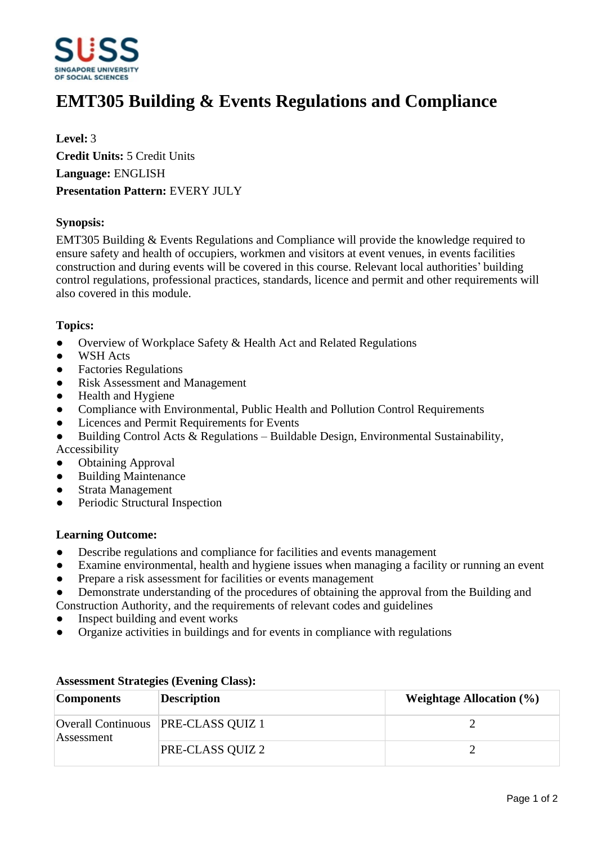

# **EMT305 Building & Events Regulations and Compliance**

**Level:** 3 **Credit Units:** 5 Credit Units **Language:** ENGLISH **Presentation Pattern:** EVERY JULY

## **Synopsis:**

EMT305 Building & Events Regulations and Compliance will provide the knowledge required to ensure safety and health of occupiers, workmen and visitors at event venues, in events facilities construction and during events will be covered in this course. Relevant local authorities' building control regulations, professional practices, standards, licence and permit and other requirements will also covered in this module.

### **Topics:**

- Overview of Workplace Safety & Health Act and Related Regulations
- WSH Acts
- Factories Regulations
- Risk Assessment and Management
- Health and Hygiene
- Compliance with Environmental, Public Health and Pollution Control Requirements
- ƔLicences and Permit Requirements for Events
- Building Control Acts & Regulations  $-$  Buildable Design, Environmental Sustainability, Accessibility
- **Obtaining Approval**
- Building Maintenance
- ƔStrata Management
- Periodic Structural Inspection

### **Learning Outcome:**

- Describe regulations and compliance for facilities and events management
- Examine environmental, health and hygiene issues when managing a facility or running an event
- Prepare a risk assessment for facilities or events management
- Demonstrate understanding of the procedures of obtaining the approval from the Building and Construction Authority, and the requirements of relevant codes and guidelines
- Inspect building and event works
- ƔOrganize activities in buildings and for events in compliance with regulations

| <b>Components</b> | <b>Description</b>                  | Weightage Allocation $(\% )$ |
|-------------------|-------------------------------------|------------------------------|
| Assessment        | Overall Continuous PRE-CLASS QUIZ 1 |                              |
|                   | PRE-CLASS QUIZ 2                    |                              |

### **Assessment Strategies (Evening Class):**